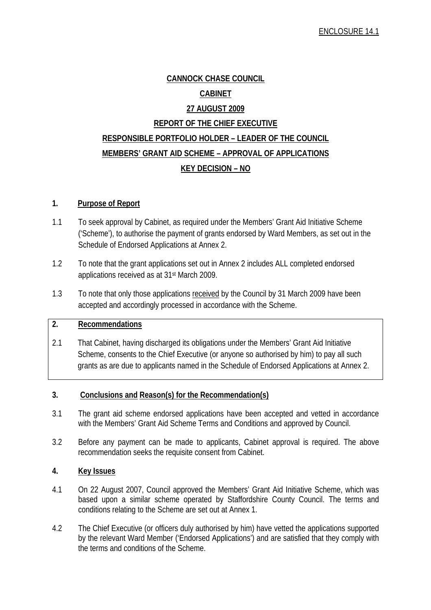# **CANNOCK CHASE COUNCIL**

#### **CABINET**

# **27 AUGUST 2009**

# **REPORT OF THE CHIEF EXECUTIVE RESPONSIBLE PORTFOLIO HOLDER – LEADER OF THE COUNCIL**

# **MEMBERS' GRANT AID SCHEME – APPROVAL OF APPLICATIONS**

# **KEY DECISION – NO**

## **1. Purpose of Report**

- 1.1 To seek approval by Cabinet, as required under the Members' Grant Aid Initiative Scheme ('Scheme'), to authorise the payment of grants endorsed by Ward Members, as set out in the Schedule of Endorsed Applications at Annex 2.
- 1.2 To note that the grant applications set out in Annex 2 includes ALL completed endorsed applications received as at 31st March 2009.
- 1.3 To note that only those applications received by the Council by 31 March 2009 have been accepted and accordingly processed in accordance with the Scheme.

# **2. Recommendations**

2.1 That Cabinet, having discharged its obligations under the Members' Grant Aid Initiative Scheme, consents to the Chief Executive (or anyone so authorised by him) to pay all such grants as are due to applicants named in the Schedule of Endorsed Applications at Annex 2.

# **3. Conclusions and Reason(s) for the Recommendation(s)**

- 3.1 The grant aid scheme endorsed applications have been accepted and vetted in accordance with the Members' Grant Aid Scheme Terms and Conditions and approved by Council.
- 3.2 Before any payment can be made to applicants, Cabinet approval is required. The above recommendation seeks the requisite consent from Cabinet.

#### **4. Key Issues**

- 4.1 On 22 August 2007, Council approved the Members' Grant Aid Initiative Scheme, which was based upon a similar scheme operated by Staffordshire County Council. The terms and conditions relating to the Scheme are set out at Annex 1.
- 4.2 The Chief Executive (or officers duly authorised by him) have vetted the applications supported by the relevant Ward Member ('Endorsed Applications') and are satisfied that they comply with the terms and conditions of the Scheme.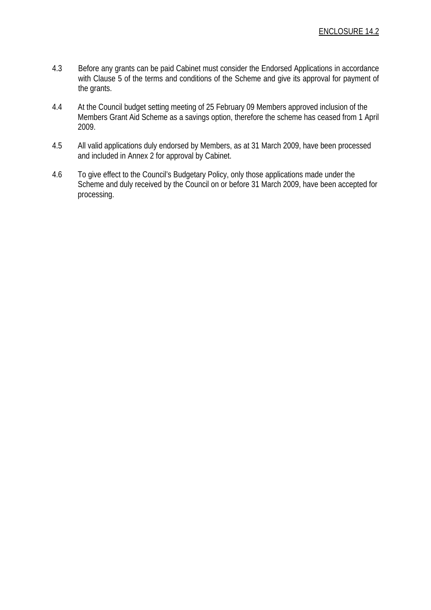- 4.3 Before any grants can be paid Cabinet must consider the Endorsed Applications in accordance with Clause 5 of the terms and conditions of the Scheme and give its approval for payment of the grants.
- 4.4 At the Council budget setting meeting of 25 February 09 Members approved inclusion of the Members Grant Aid Scheme as a savings option, therefore the scheme has ceased from 1 April 2009.
- 4.5 All valid applications duly endorsed by Members, as at 31 March 2009, have been processed and included in Annex 2 for approval by Cabinet.
- 4.6 To give effect to the Council's Budgetary Policy, only those applications made under the Scheme and duly received by the Council on or before 31 March 2009, have been accepted for processing.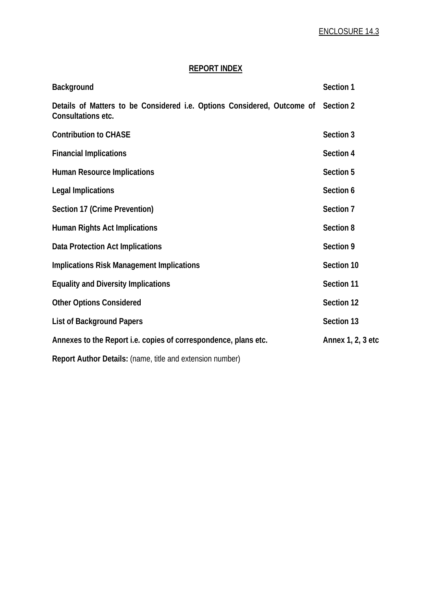# **REPORT INDEX**

| Background                                                                                              | Section 1         |
|---------------------------------------------------------------------------------------------------------|-------------------|
| Details of Matters to be Considered i.e. Options Considered, Outcome of Section 2<br>Consultations etc. |                   |
| <b>Contribution to CHASE</b>                                                                            | Section 3         |
| <b>Financial Implications</b>                                                                           | Section 4         |
| <b>Human Resource Implications</b>                                                                      | Section 5         |
| <b>Legal Implications</b>                                                                               | Section 6         |
| Section 17 (Crime Prevention)                                                                           | Section 7         |
| <b>Human Rights Act Implications</b>                                                                    | Section 8         |
| Data Protection Act Implications                                                                        | Section 9         |
| <b>Implications Risk Management Implications</b>                                                        | Section 10        |
| <b>Equality and Diversity Implications</b>                                                              | Section 11        |
| <b>Other Options Considered</b>                                                                         | Section 12        |
| <b>List of Background Papers</b>                                                                        | Section 13        |
| Annexes to the Report i.e. copies of correspondence, plans etc.                                         | Annex 1, 2, 3 etc |
| Report Author Details: (name, title and extension number)                                               |                   |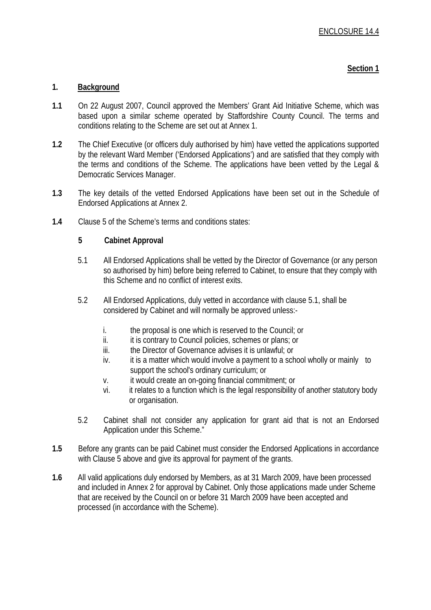#### **Section 1**

#### **1. Background**

- **1.1** On 22 August 2007, Council approved the Members' Grant Aid Initiative Scheme, which was based upon a similar scheme operated by Staffordshire County Council. The terms and conditions relating to the Scheme are set out at Annex 1.
- **1.2** The Chief Executive (or officers duly authorised by him) have vetted the applications supported by the relevant Ward Member ('Endorsed Applications') and are satisfied that they comply with the terms and conditions of the Scheme. The applications have been vetted by the Legal & Democratic Services Manager.
- **1.3** The key details of the vetted Endorsed Applications have been set out in the Schedule of Endorsed Applications at Annex 2.
- **1.4** Clause 5 of the Scheme's terms and conditions states:

#### **5 Cabinet Approval**

- 5.1 All Endorsed Applications shall be vetted by the Director of Governance (or any person so authorised by him) before being referred to Cabinet, to ensure that they comply with this Scheme and no conflict of interest exits.
- 5.2 All Endorsed Applications, duly vetted in accordance with clause 5.1, shall be considered by Cabinet and will normally be approved unless:
	- i. the proposal is one which is reserved to the Council; or
	- ii. it is contrary to Council policies, schemes or plans; or
	- iii. the Director of Governance advises it is unlawful; or
	- iv. it is a matter which would involve a payment to a school wholly or mainly to support the school's ordinary curriculum; or
	- v. it would create an on-going financial commitment; or
	- vi. it relates to a function which is the legal responsibility of another statutory body or organisation.
- 5.2 Cabinet shall not consider any application for grant aid that is not an Endorsed Application under this Scheme."
- **1.5** Before any grants can be paid Cabinet must consider the Endorsed Applications in accordance with Clause 5 above and give its approval for payment of the grants.
- **1.6** All valid applications duly endorsed by Members, as at 31 March 2009, have been processed and included in Annex 2 for approval by Cabinet. Only those applications made under Scheme that are received by the Council on or before 31 March 2009 have been accepted and processed (in accordance with the Scheme).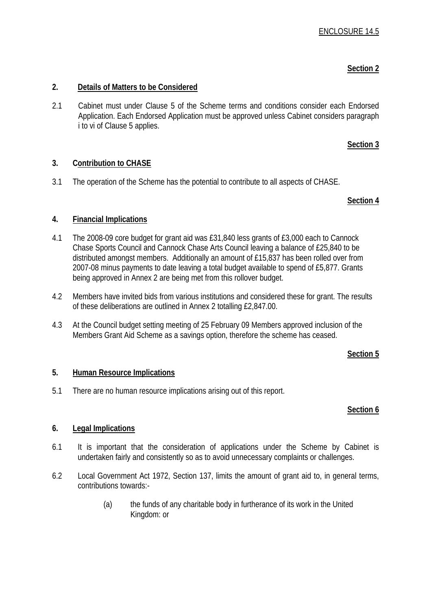## **Section 2**

#### **2. Details of Matters to be Considered**

2.1 Cabinet must under Clause 5 of the Scheme terms and conditions consider each Endorsed Application. Each Endorsed Application must be approved unless Cabinet considers paragraph i to vi of Clause 5 applies.

#### **Section 3**

#### **3. Contribution to CHASE**

3.1 The operation of the Scheme has the potential to contribute to all aspects of CHASE.

#### **Section 4**

#### **4. Financial Implications**

- 4.1 The 2008-09 core budget for grant aid was £31,840 less grants of £3,000 each to Cannock Chase Sports Council and Cannock Chase Arts Council leaving a balance of £25,840 to be distributed amongst members. Additionally an amount of £15,837 has been rolled over from 2007-08 minus payments to date leaving a total budget available to spend of £5,877. Grants being approved in Annex 2 are being met from this rollover budget.
- 4.2 Members have invited bids from various institutions and considered these for grant. The results of these deliberations are outlined in Annex 2 totalling £2,847.00.
- 4.3 At the Council budget setting meeting of 25 February 09 Members approved inclusion of the Members Grant Aid Scheme as a savings option, therefore the scheme has ceased.

#### **Section 5**

#### **5. Human Resource Implications**

5.1 There are no human resource implications arising out of this report.

#### **Section 6**

#### **6. Legal Implications**

- 6.1 It is important that the consideration of applications under the Scheme by Cabinet is undertaken fairly and consistently so as to avoid unnecessary complaints or challenges.
- 6.2 Local Government Act 1972, Section 137, limits the amount of grant aid to, in general terms, contributions towards:-
	- (a) the funds of any charitable body in furtherance of its work in the United Kingdom: or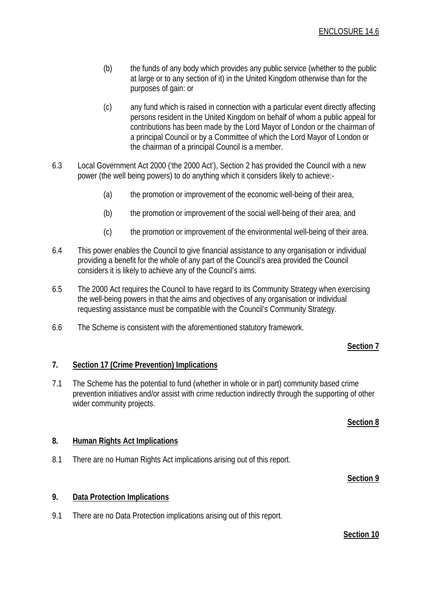- (b) the funds of any body which provides any public service (whether to the public at large or to any section of it) in the United Kingdom otherwise than for the purposes of gain: or
- (c) any fund which is raised in connection with a particular event directly affecting persons resident in the United Kingdom on behalf of whom a public appeal for contributions has been made by the Lord Mayor of London or the chairman of a principal Council or by a Committee of which the Lord Mayor of London or the chairman of a principal Council is a member.
- 6.3 Local Government Act 2000 ('the 2000 Act'), Section 2 has provided the Council with a new power (the well being powers) to do anything which it considers likely to achieve:-
	- (a) the promotion or improvement of the economic well-being of their area,
	- (b) the promotion or improvement of the social well-being of their area, and
	- (c) the promotion or improvement of the environmental well-being of their area.
- 6.4 This power enables the Council to give financial assistance to any organisation or individual providing a benefit for the whole of any part of the Council's area provided the Council considers it is likely to achieve any of the Council's aims.
- 6.5 The 2000 Act requires the Council to have regard to its Community Strategy when exercising the well-being powers in that the aims and objectives of any organisation or individual requesting assistance must be compatible with the Council's Community Strategy.
- 6.6 The Scheme is consistent with the aforementioned statutory framework.

#### **Section 7**

#### **7. Section 17 (Crime Prevention) Implications**

7.1 The Scheme has the potential to fund (whether in whole or in part) community based crime prevention initiatives and/or assist with crime reduction indirectly through the supporting of other wider community projects.

#### **Section 8**

#### **8. Human Rights Act Implications**

8.1 There are no Human Rights Act implications arising out of this report.

#### **Section 9**

#### **9. Data Protection Implications**

9.1 There are no Data Protection implications arising out of this report.

#### **Section 10**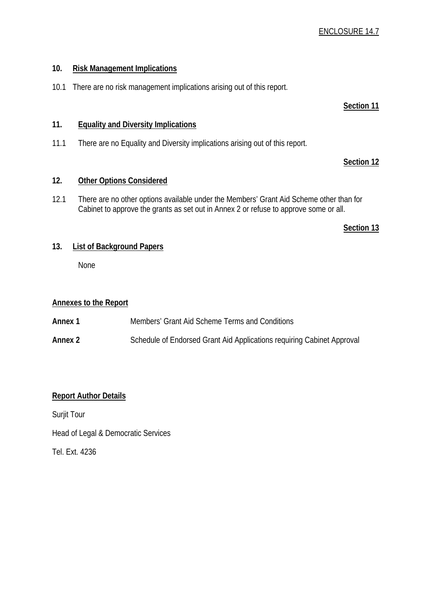## **10. Risk Management Implications**

10.1 There are no risk management implications arising out of this report.

# **11. Equality and Diversity Implications**

11.1 There are no Equality and Diversity implications arising out of this report.

# **12. Other Options Considered**

12.1 There are no other options available under the Members' Grant Aid Scheme other than for Cabinet to approve the grants as set out in Annex 2 or refuse to approve some or all.

## **Section 13**

# **13. List of Background Papers**

None

# **Annexes to the Report**

- **Annex 1** Members' Grant Aid Scheme Terms and Conditions
- **Annex 2** Schedule of Endorsed Grant Aid Applications requiring Cabinet Approval

# **Report Author Details**

Surjit Tour

Head of Legal & Democratic Services

Tel. Ext. 4236

# **Section 11**

**Section 12**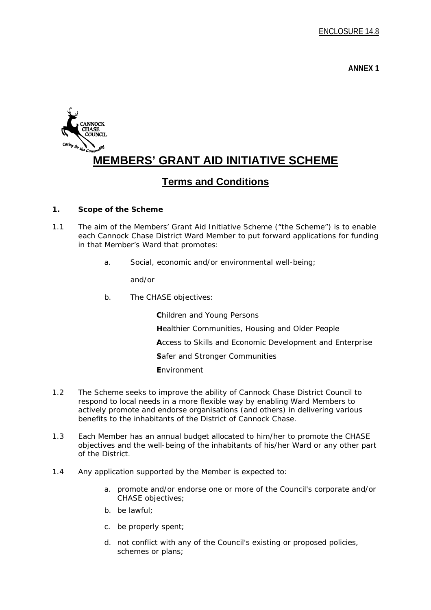ENCLOSURE 14.8

**ANNEX 1** 



# **MEMBERS' GRANT AID INITIATIVE SCHEME**

# **Terms and Conditions**

#### **1. Scope of the Scheme**

- 1.1 The aim of the Members' Grant Aid Initiative Scheme ("the Scheme") is to enable each Cannock Chase District Ward Member to put forward applications for funding in that Member's Ward that promotes:
	- a. Social, economic and/or environmental well-being;

and/or

b. The CHASE objectives:

**C**hildren and Young Persons

**H**ealthier Communities, Housing and Older People

**A**ccess to Skills and Economic Development and Enterprise

**S**afer and Stronger Communities

- **E**nvironment
- 1.2 The Scheme seeks to improve the ability of Cannock Chase District Council to respond to local needs in a more flexible way by enabling Ward Members to actively promote and endorse organisations (and others) in delivering various benefits to the inhabitants of the District of Cannock Chase.
- 1.3 Each Member has an annual budget allocated to him/her to promote the CHASE objectives and the well-being of the inhabitants of his/her Ward or any other part of the District.
- 1.4 Any application supported by the Member is expected to:
	- a. promote and/or endorse one or more of the Council's corporate and/or CHASE objectives;
	- b. be lawful;
	- c. be properly spent;
	- d. not conflict with any of the Council's existing or proposed policies, schemes or plans;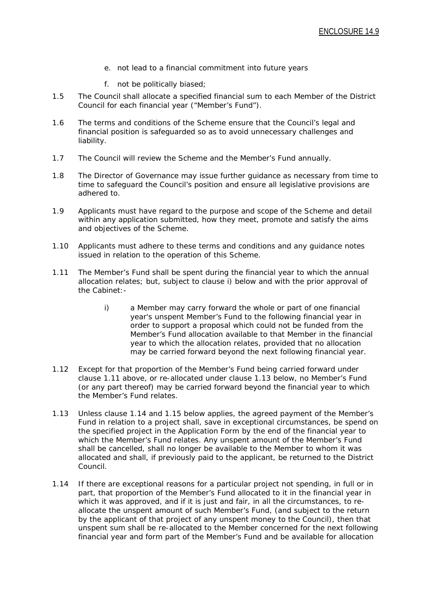- e. not lead to a financial commitment into future years
- f. not be politically biased;
- 1.5 The Council shall allocate a specified financial sum to each Member of the District Council for each financial year ("Member's Fund").
- 1.6 The terms and conditions of the Scheme ensure that the Council's legal and financial position is safeguarded so as to avoid unnecessary challenges and liability.
- 1.7 The Council will review the Scheme and the Member's Fund annually.
- 1.8 The Director of Governance may issue further guidance as necessary from time to time to safeguard the Council's position and ensure all legislative provisions are adhered to.
- 1.9 Applicants must have regard to the purpose and scope of the Scheme and detail within any application submitted, how they meet, promote and satisfy the aims and objectives of the Scheme.
- 1.10 Applicants must adhere to these terms and conditions and any guidance notes issued in relation to the operation of this Scheme.
- 1.11 The Member's Fund shall be spent during the financial year to which the annual allocation relates; but, subject to clause i) below and with the prior approval of the Cabinet:
	- i) a Member may carry forward the whole or part of one financial year's unspent Member's Fund to the following financial year in order to support a proposal which could not be funded from the Member's Fund allocation available to that Member in the financial year to which the allocation relates, provided that no allocation may be carried forward beyond the next following financial year.
- 1.12 Except for that proportion of the Member's Fund being carried forward under clause 1.11 above, or re-allocated under clause 1.13 below, no Member's Fund (or any part thereof) may be carried forward beyond the financial year to which the Member's Fund relates.
- 1.13 Unless clause 1.14 and 1.15 below applies, the agreed payment of the Member's Fund in relation to a project shall, save in exceptional circumstances, be spend on the specified project in the Application Form by the end of the financial year to which the Member's Fund relates. Any unspent amount of the Member's Fund shall be cancelled, shall no longer be available to the Member to whom it was allocated and shall, if previously paid to the applicant, be returned to the District Council.
- 1.14 If there are exceptional reasons for a particular project not spending, in full or in part, that proportion of the Member's Fund allocated to it in the financial year in which it was approved, and if it is just and fair, in all the circumstances, to reallocate the unspent amount of such Member's Fund, (and subject to the return by the applicant of that project of any unspent money to the Council), then that unspent sum shall be re-allocated to the Member concerned for the next following financial year and form part of the Member's Fund and be available for allocation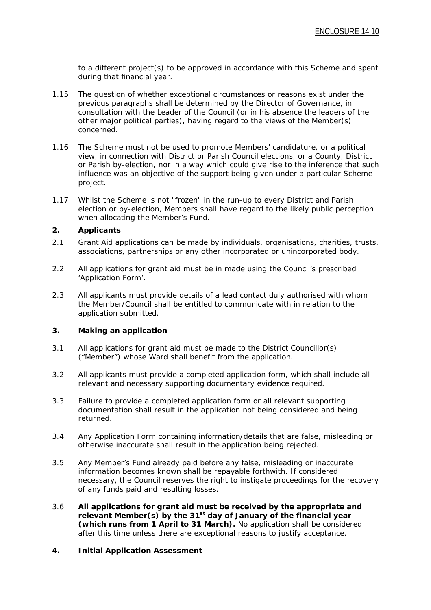to a different project(s) to be approved in accordance with this Scheme and spent during that financial year.

- 1.15 The question of whether exceptional circumstances or reasons exist under the previous paragraphs shall be determined by the Director of Governance, in consultation with the Leader of the Council (or in his absence the leaders of the other major political parties), having regard to the views of the Member(s) concerned.
- 1.16 The Scheme must not be used to promote Members' candidature, or a political view, in connection with District or Parish Council elections, or a County, District or Parish by-election, nor in a way which could give rise to the inference that such influence was an objective of the support being given under a particular Scheme project.
- 1.17 Whilst the Scheme is not "frozen" in the run-up to every District and Parish election or by-election, Members shall have regard to the likely public perception when allocating the Member's Fund.

#### **2. Applicants**

- 2.1 Grant Aid applications can be made by individuals, organisations, charities, trusts, associations, partnerships or any other incorporated or unincorporated body.
- 2.2 All applications for grant aid must be in made using the Council's prescribed 'Application Form'.
- 2.3 All applicants must provide details of a lead contact duly authorised with whom the Member/Council shall be entitled to communicate with in relation to the application submitted.

#### **3. Making an application**

- 3.1 All applications for grant aid must be made to the District Councillor(s) ("Member") whose Ward shall benefit from the application.
- 3.2 All applicants must provide a completed application form, which shall include all relevant and necessary supporting documentary evidence required.
- 3.3 Failure to provide a completed application form or all relevant supporting documentation shall result in the application not being considered and being returned.
- 3.4 Any Application Form containing information/details that are false, misleading or otherwise inaccurate shall result in the application being rejected.
- 3.5 Any Member's Fund already paid before any false, misleading or inaccurate information becomes known shall be repayable forthwith. If considered necessary, the Council reserves the right to instigate proceedings for the recovery of any funds paid and resulting losses.
- 3.6 **All applications for grant aid must be received by the appropriate and relevant Member(s) by the 31st day of January of the financial year (which runs from 1 April to 31 March).** No application shall be considered after this time unless there are exceptional reasons to justify acceptance.

#### **4. Initial Application Assessment**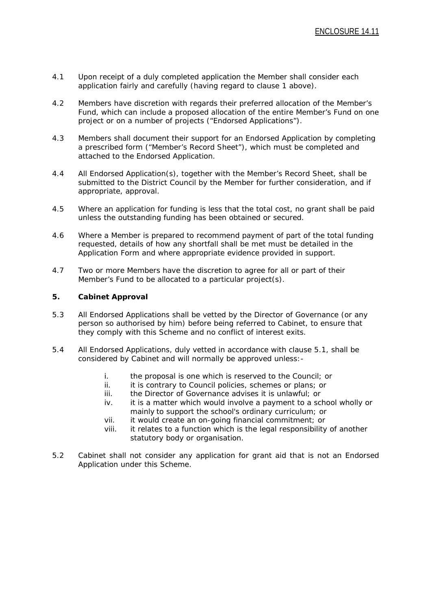- 4.1 Upon receipt of a duly completed application the Member shall consider each application fairly and carefully (having regard to clause 1 above).
- 4.2 Members have discretion with regards their preferred allocation of the Member's Fund, which can include a proposed allocation of the entire Member's Fund on one project or on a number of projects ("Endorsed Applications").
- 4.3 Members shall document their support for an Endorsed Application by completing a prescribed form ("Member's Record Sheet"), which must be completed and attached to the Endorsed Application.
- 4.4 All Endorsed Application(s), together with the Member's Record Sheet, shall be submitted to the District Council by the Member for further consideration, and if appropriate, approval.
- 4.5 Where an application for funding is less that the total cost, no grant shall be paid unless the outstanding funding has been obtained or secured.
- 4.6 Where a Member is prepared to recommend payment of part of the total funding requested, details of how any shortfall shall be met must be detailed in the Application Form and where appropriate evidence provided in support.
- 4.7 Two or more Members have the discretion to agree for all or part of their Member's Fund to be allocated to a particular project(s).

#### **5. Cabinet Approval**

- 5.3 All Endorsed Applications shall be vetted by the Director of Governance (or any person so authorised by him) before being referred to Cabinet, to ensure that they comply with this Scheme and no conflict of interest exits.
- 5.4 All Endorsed Applications, duly vetted in accordance with clause 5.1, shall be considered by Cabinet and will normally be approved unless:
	- i. the proposal is one which is reserved to the Council; or
	- ii. it is contrary to Council policies, schemes or plans; or
	- iii. the Director of Governance advises it is unlawful; or
	- iv. it is a matter which would involve a payment to a school wholly or mainly to support the school's ordinary curriculum; or
	- vii. it would create an on-going financial commitment; or
	- viii. it relates to a function which is the legal responsibility of another statutory body or organisation.
- 5.2 Cabinet shall not consider any application for grant aid that is not an Endorsed Application under this Scheme.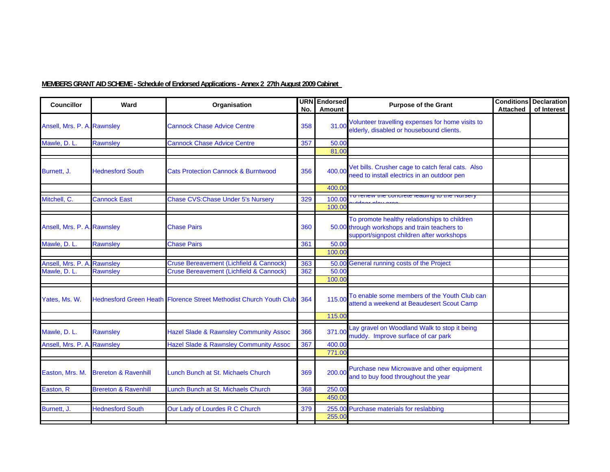#### **MEMBERS GRANT AID SCHEME - Schedule of Endorsed Applications - Annex 2 27th August 2009 Cabinet**

| <b>Councillor</b>           | Ward                            | Organisation                                                       | No. | <b>URN</b> Endorsed<br>Amount | <b>Purpose of the Grant</b>                                                                                                                | <b>Conditions</b><br><b>Attached</b> | <b>Declaration</b><br>of Interest |
|-----------------------------|---------------------------------|--------------------------------------------------------------------|-----|-------------------------------|--------------------------------------------------------------------------------------------------------------------------------------------|--------------------------------------|-----------------------------------|
| Ansell, Mrs. P. A. Rawnsley |                                 | <b>Cannock Chase Advice Centre</b>                                 | 358 | 31.00                         | Volunteer travelling expenses for home visits to<br>elderly, disabled or housebound clients.                                               |                                      |                                   |
| Mawle, D. L.                | Rawnsley                        | <b>Cannock Chase Advice Centre</b>                                 | 357 | 50.00                         |                                                                                                                                            |                                      |                                   |
|                             |                                 |                                                                    |     | 81.00                         |                                                                                                                                            |                                      |                                   |
| Burnett, J.                 | <b>Hednesford South</b>         | <b>Cats Protection Cannock &amp; Burntwood</b>                     | 356 | 400.00                        | Vet bills. Crusher cage to catch feral cats. Also<br>need to install electrics in an outdoor pen                                           |                                      |                                   |
|                             |                                 |                                                                    |     | 400.00                        |                                                                                                                                            |                                      |                                   |
| Mitchell, C.                | <b>Cannock East</b>             | <b>Chase CVS: Chase Under 5's Nursery</b>                          | 329 | 100.00                        | <u>I O TEITEM THE CONCIETE TEQUING TO THE INCISELY</u>                                                                                     |                                      |                                   |
|                             |                                 |                                                                    |     | 100.00                        |                                                                                                                                            |                                      |                                   |
| Ansell, Mrs. P. A. Rawnsley |                                 | <b>Chase Pairs</b>                                                 | 360 |                               | To promote healthy relationships to children<br>50.00 through workshops and train teachers to<br>support/signpost children after workshops |                                      |                                   |
| Mawle, D. L.                | Rawnsley                        | <b>Chase Pairs</b>                                                 | 361 | 50.00                         |                                                                                                                                            |                                      |                                   |
|                             |                                 |                                                                    |     | 100.00                        |                                                                                                                                            |                                      |                                   |
| Ansell, Mrs. P. A           | <b>Rawnsley</b>                 | Cruse Bereavement (Lichfield & Cannock)                            | 363 | 50.00                         | General running costs of the Project                                                                                                       |                                      |                                   |
| Mawle, D. L                 | Rawnsley                        | Cruse Bereavement (Lichfield & Cannock)                            | 362 | 50.00                         |                                                                                                                                            |                                      |                                   |
|                             |                                 |                                                                    |     | 100.00                        |                                                                                                                                            |                                      |                                   |
| Yates, Ms. W.               |                                 | Hednesford Green Heath Florence Street Methodist Church Youth Club | 364 | 115.00                        | To enable some members of the Youth Club can<br>attend a weekend at Beaudesert Scout Camp                                                  |                                      |                                   |
|                             |                                 |                                                                    |     | 115.00                        |                                                                                                                                            |                                      |                                   |
| Mawle, D. L.                | <b>Rawnsley</b>                 | <b>Hazel Slade &amp; Rawnsley Community Assoc</b>                  | 366 | 371.00                        | Lay gravel on Woodland Walk to stop it being<br>muddy. Improve surface of car park                                                         |                                      |                                   |
| Ansell, Mrs. P. A           | Rawnsley                        | Hazel Slade & Rawnsley Community Assoc                             | 367 | 400.00                        |                                                                                                                                            |                                      |                                   |
|                             |                                 |                                                                    |     | 771.00                        |                                                                                                                                            |                                      |                                   |
| Easton, Mrs. M.             | <b>Brereton &amp; Ravenhill</b> | Lunch Bunch at St. Michaels Church                                 | 369 | 200.00                        | Purchase new Microwave and other equipment<br>and to buy food throughout the year                                                          |                                      |                                   |
| Easton, R                   | <b>Brereton &amp; Ravenhill</b> | unch Bunch at St. Michaels Church                                  | 368 | 250.00                        |                                                                                                                                            |                                      |                                   |
|                             |                                 |                                                                    |     | 450.00                        |                                                                                                                                            |                                      |                                   |
| Burnett, J.                 | <b>Hednesford South</b>         | Our Lady of Lourdes R C Church                                     | 379 | 255.00                        | <b>Purchase materials for reslabbing</b>                                                                                                   |                                      |                                   |
|                             |                                 |                                                                    |     | 255.00                        |                                                                                                                                            |                                      |                                   |
|                             |                                 |                                                                    |     |                               |                                                                                                                                            |                                      |                                   |